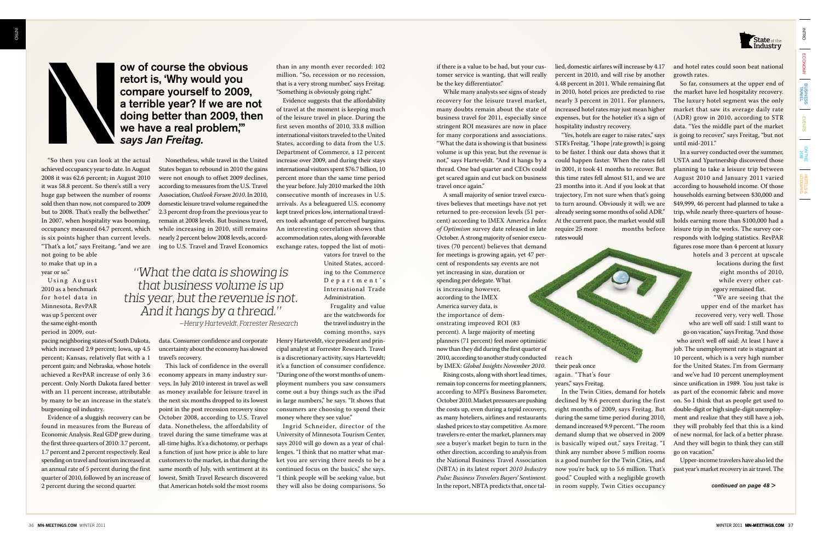"So then you can look at the actual achieved occupancy year to date. In August 2008 it was 62.6 percent; in August 2010 it was 58.8 percent. So there's still a very huge gap between the number of rooms sold then than now, not compared to 2009 but to 2008. That's really the bellwether." In 2007, when hospitality was booming, occupancy measured 64.7 percent, which is six points higher than current levels. "That's a lot," says Freitang, "and we are

Using August 2010 as a benchmark for hotel data in Minnesota, RevPAR was up 5 percent over the same eight-month period in 2009, out-

not going to be able to make that up in a year or so."

pacing neighboring states of South Dakota, which increased 2.9 percent; Iowa, up 4.5 percent; Kansas, relatively flat with a 1 percent gain; and Nebraska, whose hotels achieved a RevPAR increase of only 3.6 percent. Only North Dakota fared better with an 11 percent increase, attributable by many to be an increase in the state's burgeoning oil industry.

Evidence of a sluggish recovery can be found in measures from the Bureau of Economic Analysis. Real GDP grew during the first three quarters of 2010: 3.7 percent, 1.7 percent and 2 percent respectively. Real spending on travel and tourism increased at an annual rate of 5 percent during the first quarter of 2010, followed by an increase of 2 percent during the second quarter.

Nonetheless, while travel in the United States began to rebound in 2010 the gains were not enough to offset 2009 declines, according to measures from the U.S. Travel Association, *Outlook Forum 2010*. In 2010, domestic leisure travel volume regained the 2.3 percent drop from the previous year to remain at 2008 levels. But business travel, while increasing in 2010, still remains nearly 2 percent below 2008 levels, according to U.S. Travel and Travel Economics

data. Consumer confidence and corporate uncertainty about the economy has slowed travel's recovery.

This lack of confidence in the overall economy appears in many industry surveys. In July 2010 interest in travel as well as money available for leisure travel in the next six months dropped to its lowest point in the post recession recovery since October 2008, according to U.S. Travel data. Nonetheless, the affordability of travel during the same timeframe was at all-time highs. It's a dichotomy, or perhaps a function of just how price is able to lure customers to the market, in that during the same month of July, with sentiment at its lowest, Smith Travel Research discovered that American hotels sold the most rooms than in any month ever recorded: 102 million. "So, recession or no recession, that is a very strong number," says Freitag. "Something is obviously going right."

Hence is a value of the specific the specific the specific the specific the specific the specific term is a value of the specific term is a value of the specific term is a value of the specific term is a value of the spec A small majority of senior travel executives believes that meetings have not yet returned to pre-recession levels (51 percent) according to IMEX America *Index of Optimism* survey date released in late October. A strong majority of senior executives (70 percent) believes that demand for meetings is growing again, yet 47 percent of respondents say events are not yet increasing in size, duration or spending per delegate. What is increasing however, according to the IMEX America survey data, is the importance of demonstrating improved ROI (83 percent). A large majority of meeting planners (71 percent) feel more optimistic now than they did during the first quarter of 2010, according to another study conducted by IMEX: *Global Insights November 2010*.

Evidence suggests that the affordability of travel at the moment is keeping much of the leisure travel in place. During the first seven months of 2010, 33.8 million international visitors traveled to the United States, according to data from the U.S. Department of Commerce, a 12 percent increase over 2009, and during their stays international visitors spent \$76.7 billion, 10 percent more than the same time period the year before. July 2010 marked the 10th consecutive month of increases in U.S. arrivals. As a beleaguered U.S. economy kept travel prices low, international travelers took advantage of perceived bargains. An interesting correlation shows that accommodation rates, along with favorable exchange rates, topped the list of moti-

vators for travel to the United States, according to the Commerce Department's International Trade Administration. Frugality and value

are the watchwords for the travel industry in the coming months, says

Henry Harteveldt, vice president and principal analyst at Forrester Research. Travel is a discretionary activity, says Harteveldt; it's a function of consumer confidence. "During one of the worst months of unemployment numbers you saw consumers come out a buy things such as the iPad in large numbers," he says. "It shows that consumers are choosing to spend their money where they see value."

Ingrid Schneider, director of the University of Minnesota Tourism Center, says 2010 will go down as a year of challenges. "I think that no matter what market you are serving there needs to be a continued focus on the basics," she says. "I think people will be seeking value, but they will also be doing comparisons. So

tomer service is wanting, that will really be the key differentiator."

While many analysts see signs of steady recovery for the leisure travel market, many doubts remain about the state of business travel for 2011, especially since stringent ROI measures are now in place for many corporations and associations. "What the data is showing is that business volume is up this year, but the revenue is not," says Harteveldt. "And it hangs by a thread. One bad quarter and CEOs could get scared again and cut back on business travel once again."

Now of course the obvious<br>
retort is, 'Why would you<br>
compare yourself to 2009,<br>
a terrible year? If we are not doing better than 2009, the<br>
we have a real problem,"<br>
says Jan Freitag.<br>
"So then you can look at the actual retort is, 'Why would you compare yourself to 2009, a terrible year? If we are not doing better than 2009, then we have a real problem,'" *says Jan Freitag.*

> Rising costs, along with short lead times, remain top concerns for meeting planners, according to MPI's Business Barometer, October 2010. Market pressures are pushing the costs up, even during a tepid recovery, as many hoteliers, airlines and restaurants slashed prices to stay competitive. As more travelers re-enter the market, planners may see a buyer's market begin to turn in the other direction, according to analysis from the National Business Travel Association (NBTA) in its latest report *2010 Industry Pulse: Business Travelers Buyers' Sentiment*. In the report, NBTA predicts that, once tal-

lied, domestic airfares will increase by 4.17 percent in 2010, and will rise by another 4.48 percent in 2011. While remaining flat in 2010, hotel prices are predicted to rise nearly 3 percent in 2011. For planners, increased hotel rates may just mean higher expenses, but for the hotelier it's a sign of hospitality industry recovery.

"Yes, hotels are eager to raise rates," says STR's Freitag. "I hope [rate growth] is going to be faster. I think our data shows that it could happen faster. When the rates fell in 2001, it took 41 months to recover. But this time rates fell almost \$11, and we are 23 months into it. And if you look at that trajectory, I'm not sure when that's going to turn around. Obviously it will; we are already seeing some months of solid ADR." At the current pace, the market would still require 25 more months before rates would

reach

their peak once again. "That's four years," says Freitag.

In the Twin Cities, demand for hotels declined by 9.6 percent during the first eight months of 2009, says Freitag. But during the same time period during 2010, demand increased 9.9 percent. "The room demand slump that we observed in 2009 is basically wiped out," says Freitag. "I think any number above 5 million rooms is a good number for the Twin Cities, and now you're back up to 5.6 million. That's good." Coupled with a negligible growth in room supply, Twin Cities occupancy

and hotel rates could soon beat national **State** growth rates.

So far, consumers at the upper end of the market have led hospitality recovery. The luxury hotel segment was the only market that saw its average daily rate (ADR) grow in 2010, according to STR data. "Yes the middle part of the market is going to recover," says Freitag, "but not until mid-2011."

In a survey conducted over the summer, USTA and Ypartnership discovered those planning to take a leisure trip between August 2010 and January 2011 varied according to household income. Of those households earning between \$30,000 and \$49,999, 46 percent had planned to take a trip, while nearly three-quarters of households earning more than \$100,000 had a leisure trip in the works. The survey corresponds with lodging statistics. RevPAR figures rose more than 4 percent at luxury

hotels and 3 percent at upscale locations during the first eight months of 2010, while every other category remained flat.

"We are seeing that the upper end of the market has recovered very, very well. Those who are well off said: I still want to go on vacation," says Freitag. "And those who aren't well off said: At least I have a job. The unemployment rate is stagnant at 10 percent, which is a very high number for the United States. I'm from Germany and we've had 10 percent unemployment since unification in 1989. You just take is as part of the economic fabric and move on. So I think that as people get used to double-digit or high single-digit unemployment and realize that they still have a job, they will probably feel that this is a kind of new normal, for lack of a better phrase. And they will begin to think they can still go on vacation."

Upper-income travelers have also led the past year's market recovery in air travel. The



*"What the data is showing is that business volume is up this year, but the revenue is not. And it hangs by a thread."*

ECONOMY

ECONOMY

| Business |

EVENTS

 $\overline{\phantom{0}}$ 

**BOL**<br>BHT NO

HOTELs & lodging

 $\frac{1}{2}$ 

HOTELS &



**INTRO** 

*continued on page 48 >*

*—Henry Harteveldt, Forrester Research*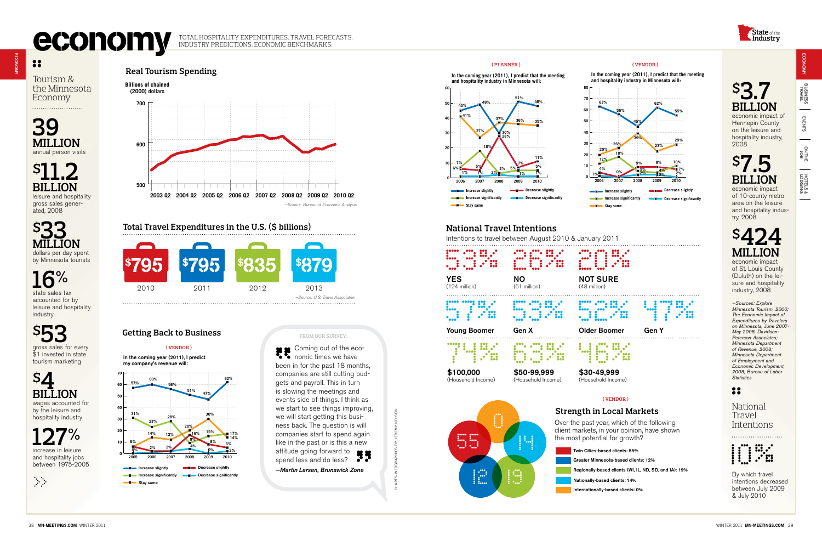## **economic BECONOMY** TOTAL HOSPITALITY EXPENDITURES. TRAVEL FORECASTS. **economy**

## $\bullet\bullet$

Tourism & the Minnesota Economy 

**39 Million** annual person visits

**\$11.2 billion** leisure and hospitality gross sales generated, 2008

**\$33 Million** dollars per day spent by Minnesota tourists

**16%** state sales tax accounted for by leisure and hospitality industry

economic impact of Hennepin County on the leisure and hospitality industry, 2008

**\$53** gross sales for every  $$1$  invested in state tourism marketing



**127%** increase in leisure and hospitality jobs between 1975-2005



## **\$7.5 Increase slightly billion** economic impact

of 10-county metro area on the leisure and hospitality industry, 2008

## **\$424 Million**

economic impact of St. Louis County (Duluth) on the leisure and hospitality industry, 2008

*—Sources: Explore Minnesota Tourism, 2000; The Economic Impact of Expenditures by Travelers on Minnesota, June 2007- May 2008, Davidson-Peterson Associates; Minnesota Department of Revenue, 2008; Minnesota Department of Employment and Economic Development, 2008; Bureau of Labor Statistics*

### 88

**( VENDOR )** In the coming year (2011), I predict<br>my company's revenue will:

> National Travel Intentions



By which travel intentions decreased between July 2009 & July 2010

## **\$3.7 billion Decrease significantly**

Coming out of the economic times we have been in for the past 18 months, companies are still cutting budgets and payroll. This in turn goto and pay can the meant events side of things. I think as we start to see things improving, we will start getting this business back. The question is will companies start to spend again like in the past or is this a new attitude going forward to spend less and do less? (VENDOR) (VENDOR) (VENDOR) (VENDOR) (VENDOR) (VENDOR) (VENDOR) (VENDOR) (VENDOR) (VENDOR) (VENDOR) (VENDOR) (VENDOR) (VENDOR) (VENDOR) (VENDOR) (VENDOR) (VENDOR) (VENDOR) (VENDOR) (VENDOR) (VENDOR) (VENDOR) (VENDOR) (VENDO



**In the coming year (2011), I predict that the meeting** 

**EVENTS**  $\frac{1}{2}$ on the<br>
and<br>  $\frac{1}{2}$  $\frac{1}{2}$ HOTELS & lodging HOTELs &

 $\overline{\phantom{a}}$ 



Over the past year, which of the following client markets, in your opinion, have shown



## **Total Travel Expenditures in the U.S. (\$ billions)**



*—Martin Larsen, Brunswick Zone*



\$100,000 (Household Income)

(Household Income)

(Household Income)



## ECONOMY business travel

 $\frac{1}{2}$ 



ECONOMY

Industry Predictions. Economic Benchmarks.

## **Getting Back to Business**





**Strength in Local Markets ( VENDOR )**



#### **From our survey:**

charts/infographics by jeremy nelson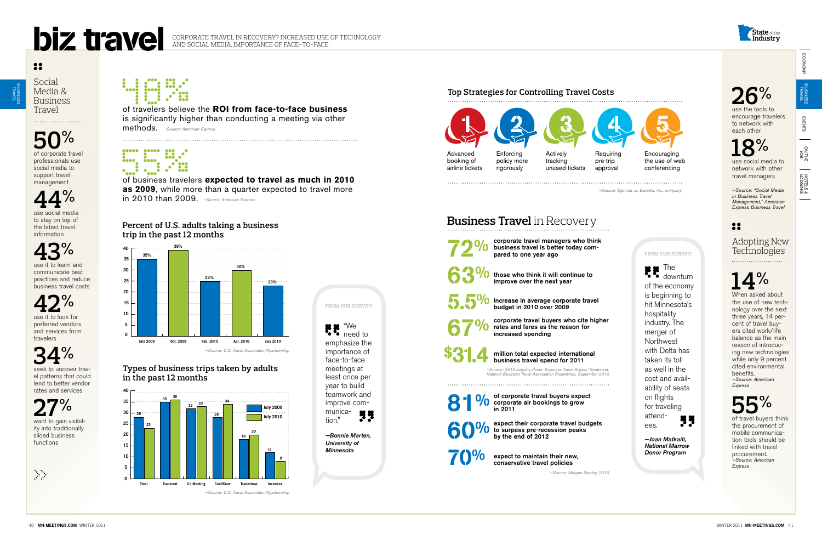## **26%**

use the tools to encourage travelers to network with each other

# **18%**

use social media to network with other travel managers

*—Source: "Social Media in Business Travel Management," American Express Business Travel*

## $\bullet$

### Adopting New Technologies

## **14%**

When asked about the use of new technology over the next three years, 14 percent of travel buyers cited work/life balance as the main reason of introducing new technologies while only 9 percent cited environmental benefits.

corporate travel managers who think business travel is better today compared to one year ago

those who think it will continue to improve over the next year

5.5<sup>0</sup><sup>()</sup> increase in average corporate travel budget in 2010 over 2009



*—Source: American Express*



corporate travel buyers who cite higher rates and fares as the reason for increased spending



million total expected international business travel spend for 2011

> of travel buyers think the procurement of mobile communication tools should be linked with travel procurement. *—Source: American Express*

81 O/ of corporate travel buyers expect<br>in 2011 corporate air bookings to grow in 2011



expect their corporate travel budgets to surpass pre-recession peaks by the end of 2012

"We need to emphasize the importance of face-to-face meetings at least once per year to build teamwork and improve communica-33 tion."

> expect to maintain their new, conservative travel policies

*—Bonnie Marten, University of Minnesota*

## **Business Travel** in Recovery



seek to uncover travel patterns that could lend to better vendor rates and services

### **Types of business trips taken by adults percentage change in the past 12 months Shares by business travel segment up**

*—Source: 2010 Industry Pulse: Business Travel Buyers' Sentiment, National Business Travel Association Foundation, September 2010*



## ECONOMY ECONOMY

business<br>Travel

**EVENTS** 

on the idea  $\frac{1}{2}$ HOTELS & lodging HOTELs &

 $\overline{\phantom{a}}$ 

*—Source: Morgan Stanley, 2010*



Social Media & Business Travel

## **50%** of corporate travel

professionals use social media to support travel management

**44%**

use social media to stay on top of the latest travel information

**43%** use it to learn and communicate best

practices and reduce business travel costs

**42%** use it to look for preferred vendors and services from travelers

## **34%**

**27%** want to gain visibility into traditionally siloed business functions

**1.1 mars 1979** 





### **Top Strategies for Controlling Travel Costs**

### **Shares by business travel segment up trip in the past 12 months Percent of U.S. adults taking a business**

of travelers believe the **ROI from face-to-face business** is significantly higher than conducting a meeting via other methods. *—Source: American Express*



of business travelers **expected to travel as much in 2010 as 2009**, while more than a quarter expected to travel more in 2010 than 2009. *—Source: American Express*





business travel



 $\bullet\bullet$ 



The downturn of the economy is beginning to hit Minnesota's hospitality industry. The merger of Northwest with Delta has taken its toll as well in the cost and availability of seats on flights for traveling attend-**33** ees.

*—Joan Matkaiti, National Marrow Donor Program*

# **From our survey:**

**From our survey:**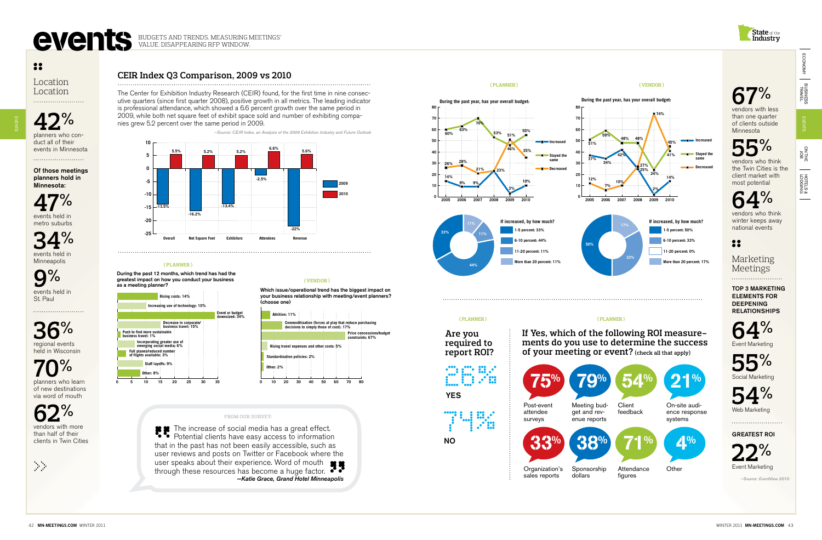

26% 2002 YES

**23 the Twin Cities is the** vendors who think client market with most potential

> Top 3 Marketing Elements for **DEEPENING RELATIONSHIPS**

#### **( PLANNER ) ( Vendor )**

planners who conduct all of their events in Minnesota

**53%** Minnesota vendors with less than one quarter of clients outside

**36%** regional events held in Wisconsin

## **Increased Stayed the same 55%**



**Are you required to report ROI?**



## **67%**

## **64%**

vendors who think winter keeps away national events

## 88

Marketing Meetings



Event Marketing



**54%**

Web Marketinc

Greatest ROI



*—Source: EventView 2010*

Location Location

**42%**

Of those meetings planners hold in Minnesota:

**47%** events held in metro suburbs

**34%** events held in Minneapolis

HOTELS &<br>LODGING lodging HOTELs &

**9%** events held in St. Paul

**70%** planners who learn

of new destinations via word of mouth

**62%** vendors with more than half of their clients in Twin Cities

The increase of social media has a great effect. Potential clients have easy access to information that in the past has not been easily accessible, such as user reviews and posts on Twitter or Facebook where the user speaks about their experience. Word of mouth through these resources has become a huge factor. *—Katie Grace, Grand Hotel Minneapolis*

greatest impact on how you conduct your business **impact on the impact on the same of the same of the same of the same of the same of the same of the same of the same of the same of the same of the same of the same of the same of the same of the same of the same of the s** During the past 12 months, which trend has had the







The Center for Exhibition Industry Research (CEIR) found, for the first time in nine consecutive quarters (since first quarter 2008), positive growth in all metrics. The leading indicator is professional attendance, which showed a 6.6 percent growth over the same period in 2009, while both net square feet of exhibit space sold and number of exhibiting companies grew 5.2 percent over the same period in 2009.

*—Source: CEIR Index, an Analysis of the 2009 Exhibition Industry and Future Outlook*



#### **( PLANNER )**



on the<br>and

EVENTS

EVENTS

# EVENTS BUDGETS AND TRENDS. MEASURING MEETINGS'

VALUE. Disappearing RFP Window.

## $\bullet\bullet$

**If Yes, which of the following ROI measure- ments do you use to determine the success of your meeting or event? (check all that apply)**

sales reports

figures







#### **( Vendor )**

your business relationship with meeting/event planners? **business relationship with meeting/event planners? (choose one)** (choose one) Which issue/operational trend has the biggest impact on

#### **From our survey:**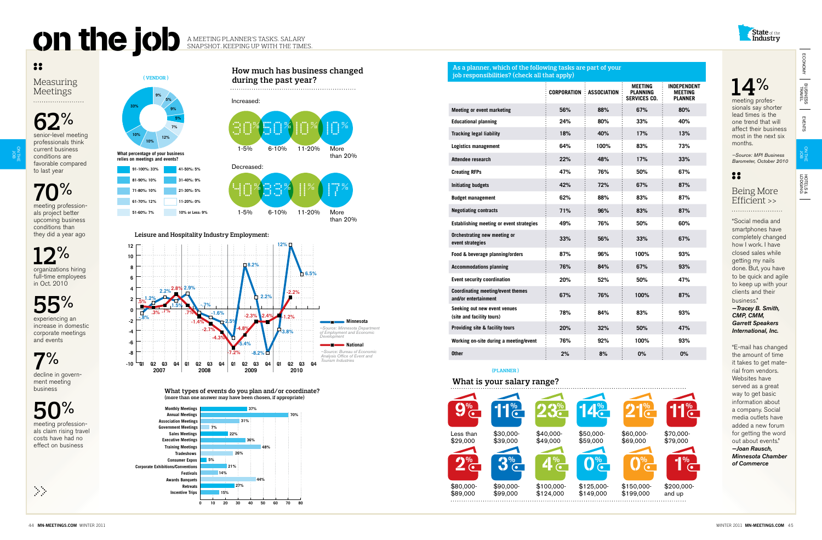

### Measuring Meetings

## **62%**

o<br>Z the<br>H )<br>0

**70%** meeting profession-

als project better upcoming business conditions than they did a year ago

**12%** organizations hiring full-time employees in Oct. 2010



experiencing an increase in domestic corporate meetings and events

## **7%**

decline in government meeting business

# **50%** meeting profession-

als claim rising travel costs have had no effect on business

| Ω               |
|-----------------|
| meeting profes- |

sionals say shorter lead times is the one trend that will affect their business most in the next six months.

*—Source: MPI Business Barometer, October 2010*

### 88

#### Being More Efficient >>

"Social media and smartphones have completely changed how I work. I have closed sales while getting my nails done. But, you have to be quick and agile to keep up with your clients and their business." *—Tracey B. Smith,* 

HOTELS & lodging HOTELs &

 $\overline{\phantom{a}}$ 

*CMP, CMM, Garrett Speakers International, Inc.*

## On the job A MEETING PLANNER'S TASKS. SALARY Snapshot. Keeping up with the times.



"E-mail has changed the amount of time it takes to get material from vendors. Websites have served as a great way to get basic information about a company. Social media outlets have added a new forum for getting the word out about events." *—Joan Rausch, Minnesota Chamber of Commerce*

**What types of events do you plan and/or coordinate? (more than one answer may have been chosen, if appropriate) (more than one answer may have been chosen, if appropriate) What types of events do you plan and/or coordinate?** **What is your salary range?**











**10%**

**during the past year?**

1-5% 6-10% 11-20% More

than 20%

ECONOMY

ECONOMY

**What percentage of your business relies on meetings and events? -4 -2**







**How much has business changed Leisure and Hospitality Industry Employment:**



**10% 12% 0**









**-8 -6 -4 -2 0 2 4 6 8**

| job responsibilities? (check all that apply) |                    |                                                          |                                                 |  |  |  |
|----------------------------------------------|--------------------|----------------------------------------------------------|-------------------------------------------------|--|--|--|
| <b>CORPORATION</b>                           | <b>ASSOCIATION</b> | <b>MEETING</b><br><b>PLANNING</b><br><b>SERVICES CO.</b> | INDEPENDENT<br><b>MEETING</b><br><b>PLANNER</b> |  |  |  |
| 56%                                          | 88%                | 67%                                                      | 80%                                             |  |  |  |
| 24%                                          | 80%                | 33%                                                      | 40%                                             |  |  |  |
| 18%                                          | 40%                | 17%                                                      | 13%                                             |  |  |  |
| 64%                                          | 100%               | 83%                                                      | 73%                                             |  |  |  |
| 22%                                          | 48%                | 17%                                                      | 33%                                             |  |  |  |
| 47%                                          | 76%                | 50%                                                      | 67%                                             |  |  |  |
| 42%                                          | 72%                | 67%                                                      | 87%                                             |  |  |  |
| 62%                                          | 88%                | 83%                                                      | 87%                                             |  |  |  |
| 71%                                          | 96%                | 83%                                                      | 87%                                             |  |  |  |
| 49%                                          | 76%                | 50%                                                      | 60%                                             |  |  |  |
| 33%                                          | 56%                | 33%                                                      | 67%                                             |  |  |  |
| 87%                                          | 96%                | 100%                                                     | 93%                                             |  |  |  |
| 76%                                          | 84%                | 67%                                                      | 93%                                             |  |  |  |
| 20%                                          | 52%                | 50%                                                      | 47%                                             |  |  |  |
| 67%                                          | 76%                | 100%                                                     | 87%                                             |  |  |  |
| 78%                                          | 84%                | 83%                                                      | 93%                                             |  |  |  |
| 20%                                          | 32%                | 50%                                                      | 47%                                             |  |  |  |
| 76%                                          | 92%                | 100%                                                     | 93%                                             |  |  |  |
| 2%                                           | 8%                 | 0%                                                       | 0%                                              |  |  |  |
|                                              |                    |                                                          |                                                 |  |  |  |

#### **As a planner, which of the following tasks are part of your job responsibilities? (check all that apply)**

**(PLANNER )**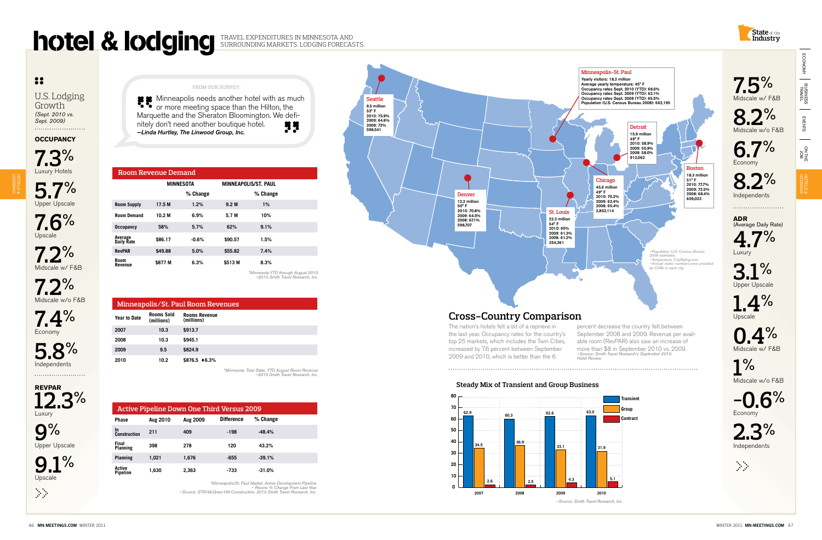U.S. Lodging Growth *(Sept. 2010 vs. Sept. 2009)* 

**Winneapolis needs another hotel with as much**<br> **All or more masting as well with as much as much** or more meeting space than the Hilton, the Marquette and the Sheraton Bloomington. We definitely don't need another boutique hotel.<br>
I inde Hurtley. The Linwood Group Inc nitely don't need another boutique hotel. *—Linda Hurtley, The Linwood Group, Inc.*

**Occupancy**

**7.3%** Luxury Hotels

**5.7%** Upper Upscale

**7.6%** Upscale

**7.2%** Midscale w/ F&B

**7.2%**<br>Midscale w/o F&B

**7.4%** Economy

**5.8%** Independents

**RevPAR 12.3%**

Luxury

**9%** Upper Upscale

**9.1%** 

**6.7%** Economy

**8.2%** Independents

**ADR**  (Average Daily Rate)



Luxury

**3.1%** Upper Upscale

**1.4%** Upscale



**1%** Midscale w/o F&B







*\*Minnesota YTD through August 2010 —2010 Smith Travel Research, Inc.*



| Minneapolis/St. Paul Room Revenues |                                 |                                    |  |
|------------------------------------|---------------------------------|------------------------------------|--|
| <b>Year to Date</b>                | <b>Rooms Sold</b><br>(millions) | <b>Rooms Revenue</b><br>(millions) |  |
| 2007                               | 10.3                            | \$913.7                            |  |
| 2008                               | 10.3                            | \$945.1                            |  |
| 2009                               | 9.5                             | \$824.9                            |  |
| 2010                               | 10.2                            | \$876.5 46.3%                      |  |

*\*Minnesota: Total State, YTD August Room Revenue —2010 Smith Travel Research, Inc.*

|                           | <b>Active Pipeline Down One Third Versus 2009</b> |          |                   |          |
|---------------------------|---------------------------------------------------|----------|-------------------|----------|
| <b>Phase</b>              | Aug 2010                                          | Aug 2009 | <b>Difference</b> | % Change |
| In.<br>Construction       | 211                                               | 409      | $-198$            | $-48.4%$ |
| Final<br>Planning         | 398                                               | 278      | 120               | 43.2%    |
| Planning                  | 1.021                                             | 1.676    | $-655$            | $-39.1%$ |
| Active<br><b>Pipeline</b> | 1.630                                             | 2.363    | -733              | $-31.0%$ |

*\*Minneapolis/St. Paul Market. Active Development Pipeline – Rooms % Change From Last Year —Source: STR/McGraw-Hill Construction. 2010 Smith Travel Research, Inc.*

| <b>Room Revenue Demand</b> |                   |          |                  |                             |  |
|----------------------------|-------------------|----------|------------------|-----------------------------|--|
|                            | <b>MINNESOTA</b>  |          |                  | <b>MINNEAPOLIS/ST. PAUL</b> |  |
|                            |                   | % Change |                  | % Change                    |  |
| <b>Room Supply</b>         | 17.5 M            | 1.2%     | 9.2 <sub>M</sub> | 1%                          |  |
| <b>Room Demand</b>         | 10.2 <sub>M</sub> | 6.9%     | 5.7 M            | 10%                         |  |
| <b>Occupancy</b>           | 58%               | 5.7%     | 62%              | 9.1%                        |  |
| Average<br>Daily Rate      | \$86.17           | $-0.6%$  | \$90.57          | 1.5%                        |  |
| <b>RevPAR</b>              | \$49.88           | 5.0%     | \$55.82          | 7.4%                        |  |
| Room<br>Revenue            | \$877 M           | 6.3%     | \$513 M          | 8.3%                        |  |



HOTELs & lodging

# notel & lodging TRAVEL EXPENDITURES IN MINNESOTA AND

## Surrounding Markets. Lodging Forecasts.

### $33$

The nation's hotels felt a bit of a reprieve in the last year. Occupancy rates for the country's top 25 markets, which includes the Twin Cities, increased by 7.6 percent between September 2009 and 2010, which is better than the 6

### **Steady Mix of Transient and Group Business Steady Mix of Transient and Group Business**

percent decrease the country felt between September 2008 and 2009. Revenue per available room (RevPAR) also saw an increase of more than \$8 in September 2010 vs. 2009. *—Source: Smith Travel Research's September 2010 Hotel Review*

## **Cross-Country Comparison**



**7.5%**<br>Midscale w/ F&B

**8.2%**<br>Midscale w/o F&B

*—Source: Smith Travel Research, Inc.*



ECONOMY

ECONOMY

business<br>Fravel